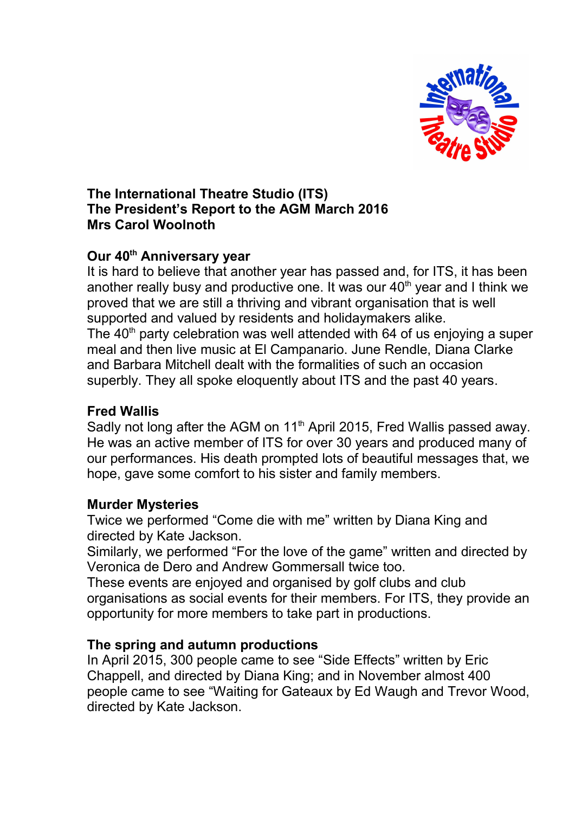

## **The International Theatre Studio (ITS) The President's Report to the AGM March 2016 Mrs Carol Woolnoth**

## **Our 40th Anniversary year**

It is hard to believe that another year has passed and, for ITS, it has been another really busy and productive one. It was our  $40<sup>th</sup>$  year and I think we proved that we are still a thriving and vibrant organisation that is well supported and valued by residents and holidaymakers alike. The  $40<sup>th</sup>$  party celebration was well attended with 64 of us enjoying a super meal and then live music at El Campanario. June Rendle, Diana Clarke and Barbara Mitchell dealt with the formalities of such an occasion superbly. They all spoke eloquently about ITS and the past 40 years.

### **Fred Wallis**

Sadly not long after the AGM on 11<sup>th</sup> April 2015, Fred Wallis passed away. He was an active member of ITS for over 30 years and produced many of our performances. His death prompted lots of beautiful messages that, we hope, gave some comfort to his sister and family members.

#### **Murder Mysteries**

Twice we performed "Come die with me" written by Diana King and directed by Kate Jackson.

Similarly, we performed "For the love of the game" written and directed by Veronica de Dero and Andrew Gommersall twice too.

These events are enjoyed and organised by golf clubs and club organisations as social events for their members. For ITS, they provide an opportunity for more members to take part in productions.

# **The spring and autumn productions**

In April 2015, 300 people came to see "Side Effects" written by Eric Chappell, and directed by Diana King; and in November almost 400 people came to see "Waiting for Gateaux by Ed Waugh and Trevor Wood, directed by Kate Jackson.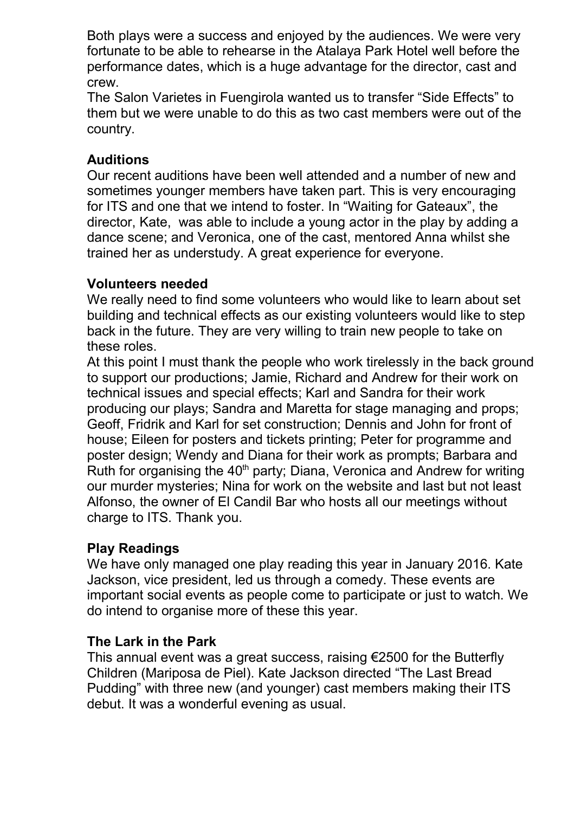Both plays were a success and enjoyed by the audiences. We were very fortunate to be able to rehearse in the Atalaya Park Hotel well before the performance dates, which is a huge advantage for the director, cast and crew.

The Salon Varietes in Fuengirola wanted us to transfer "Side Effects" to them but we were unable to do this as two cast members were out of the country.

## **Auditions**

Our recent auditions have been well attended and a number of new and sometimes younger members have taken part. This is very encouraging for ITS and one that we intend to foster. In "Waiting for Gateaux", the director, Kate, was able to include a young actor in the play by adding a dance scene; and Veronica, one of the cast, mentored Anna whilst she trained her as understudy. A great experience for everyone.

#### **Volunteers needed**

We really need to find some volunteers who would like to learn about set building and technical effects as our existing volunteers would like to step back in the future. They are very willing to train new people to take on these roles.

At this point I must thank the people who work tirelessly in the back ground to support our productions; Jamie, Richard and Andrew for their work on technical issues and special effects; Karl and Sandra for their work producing our plays; Sandra and Maretta for stage managing and props; Geoff, Fridrik and Karl for set construction; Dennis and John for front of house; Eileen for posters and tickets printing; Peter for programme and poster design; Wendy and Diana for their work as prompts; Barbara and Ruth for organising the  $40<sup>th</sup>$  party; Diana, Veronica and Andrew for writing our murder mysteries; Nina for work on the website and last but not least Alfonso, the owner of El Candil Bar who hosts all our meetings without charge to ITS. Thank you.

# **Play Readings**

We have only managed one play reading this year in January 2016. Kate Jackson, vice president, led us through a comedy. These events are important social events as people come to participate or just to watch. We do intend to organise more of these this year.

#### **The Lark in the Park**

This annual event was a great success, raising €2500 for the Butterfly Children (Mariposa de Piel). Kate Jackson directed "The Last Bread Pudding" with three new (and younger) cast members making their ITS debut. It was a wonderful evening as usual.